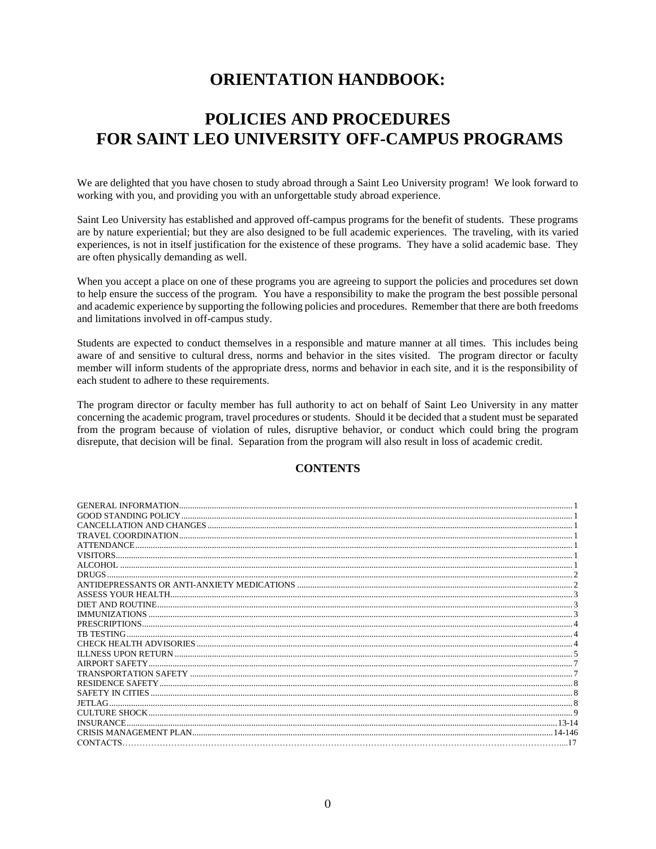# **ORIENTATION HANDBOOK:**

# **POLICIES AND PROCEDURES FOR SAINT LEO UNIVERSITY OFF-CAMPUS PROGRAMS**

We are delighted that you have chosen to study abroad through a Saint Leo University program! We look forward to working with you, and providing you with an unforgettable study abroad experience.

Saint Leo University has established and approved off-campus programs for the benefit of students. These programs are by nature experiential; but they are also designed to be full academic experiences. The traveling, with its varied experiences, is not in itself justification for the existence of these programs. They have a solid academic base. They are often physically demanding as well.

When you accept a place on one of these programs you are agreeing to support the policies and procedures set down to help ensure the success of the program. You have a responsibility to make the program the best possible personal and academic experience by supporting the following policies and procedures. Remember that there are both freedoms and limitations involved in off-campus study.

Students are expected to conduct themselves in a responsible and mature manner at all times. This includes being aware of and sensitive to cultural dress, norms and behavior in the sites visited. The program director or faculty member will inform students of the appropriate dress, norms and behavior in each site, and it is the responsibility of each student to adhere to these requirements.

The program director or faculty member has full authority to act on behalf of Saint Leo University in any matter concerning the academic program, travel procedures or students. Should it be decided that a student must be separated from the program because of violation of rules, disruptive behavior, or conduct which could bring the program disrepute, that decision will be final. Separation from the program will also result in loss of academic credit.

#### **CONTENTS**

| <b>ATTENDANCE</b> |  |
|-------------------|--|
|                   |  |
|                   |  |
| <b>DRUGS</b>      |  |
|                   |  |
|                   |  |
|                   |  |
|                   |  |
|                   |  |
| TR TESTING        |  |
|                   |  |
|                   |  |
| AIRPORT SAFETY.   |  |
|                   |  |
|                   |  |
|                   |  |
| JETLAG –          |  |
|                   |  |
| <b>INSURANCE</b>  |  |
|                   |  |
| CONTACTS.         |  |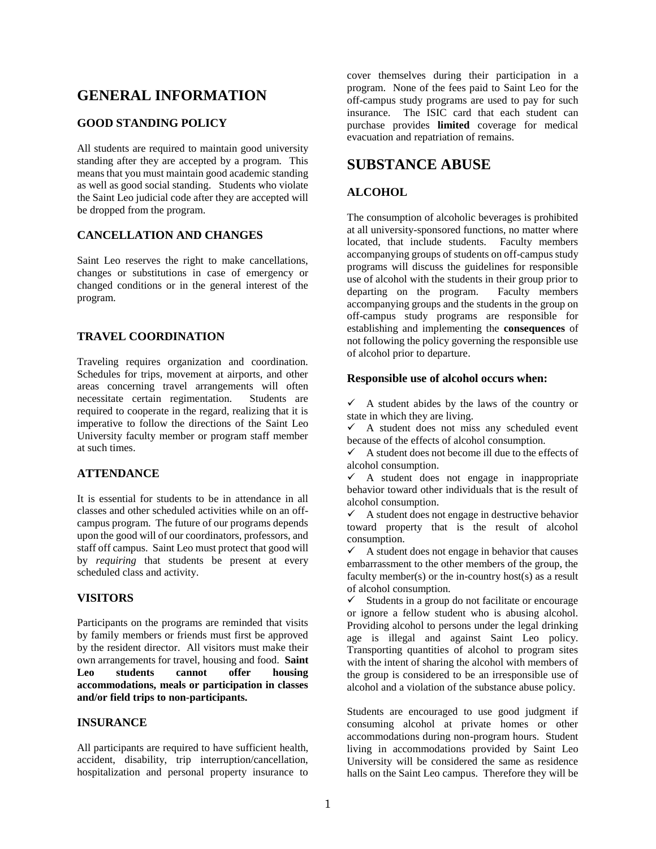# <span id="page-1-0"></span>**GENERAL INFORMATION**

#### <span id="page-1-1"></span>**GOOD STANDING POLICY**

All students are required to maintain good university standing after they are accepted by a program. This means that you must maintain good academic standing as well as good social standing. Students who violate the Saint Leo judicial code after they are accepted will be dropped from the program.

#### <span id="page-1-2"></span>**CANCELLATION AND CHANGES**

Saint Leo reserves the right to make cancellations, changes or substitutions in case of emergency or changed conditions or in the general interest of the program.

#### <span id="page-1-3"></span>**TRAVEL COORDINATION**

Traveling requires organization and coordination. Schedules for trips, movement at airports, and other areas concerning travel arrangements will often necessitate certain regimentation. Students are required to cooperate in the regard, realizing that it is imperative to follow the directions of the Saint Leo University faculty member or program staff member at such times.

#### <span id="page-1-4"></span>**ATTENDANCE**

It is essential for students to be in attendance in all classes and other scheduled activities while on an offcampus program. The future of our programs depends upon the good will of our coordinators, professors, and staff off campus. Saint Leo must protect that good will by *requiring* that students be present at every scheduled class and activity.

#### <span id="page-1-5"></span>**VISITORS**

Participants on the programs are reminded that visits by family members or friends must first be approved by the resident director. All visitors must make their own arrangements for travel, housing and food. **Saint Leo students cannot offer housing accommodations, meals or participation in classes and/or field trips to non-participants.**

#### **INSURANCE**

All participants are required to have sufficient health, accident, disability, trip interruption/cancellation, hospitalization and personal property insurance to

cover themselves during their participation in a program. None of the fees paid to Saint Leo for the off-campus study programs are used to pay for such insurance. The ISIC card that each student can purchase provides **limited** coverage for medical evacuation and repatriation of remains.

# **SUBSTANCE ABUSE**

#### <span id="page-1-6"></span>**ALCOHOL**

The consumption of alcoholic beverages is prohibited at all university-sponsored functions, no matter where located, that include students. Faculty members accompanying groups of students on off-campus study programs will discuss the guidelines for responsible use of alcohol with the students in their group prior to departing on the program. Faculty members accompanying groups and the students in the group on off-campus study programs are responsible for establishing and implementing the **consequences** of not following the policy governing the responsible use of alcohol prior to departure.

#### **Responsible use of alcohol occurs when:**

 $\checkmark$  A student abides by the laws of the country or state in which they are living.

 $\checkmark$  A student does not miss any scheduled event because of the effects of alcohol consumption.

 $\checkmark$  A student does not become ill due to the effects of alcohol consumption.

 $\checkmark$  A student does not engage in inappropriate behavior toward other individuals that is the result of alcohol consumption.

 $\checkmark$  A student does not engage in destructive behavior toward property that is the result of alcohol consumption.

 $\checkmark$  A student does not engage in behavior that causes embarrassment to the other members of the group, the faculty member(s) or the in-country host(s) as a result of alcohol consumption.

 $\checkmark$  Students in a group do not facilitate or encourage or ignore a fellow student who is abusing alcohol. Providing alcohol to persons under the legal drinking age is illegal and against Saint Leo policy. Transporting quantities of alcohol to program sites with the intent of sharing the alcohol with members of the group is considered to be an irresponsible use of alcohol and a violation of the substance abuse policy.

Students are encouraged to use good judgment if consuming alcohol at private homes or other accommodations during non-program hours. Student living in accommodations provided by Saint Leo University will be considered the same as residence halls on the Saint Leo campus. Therefore they will be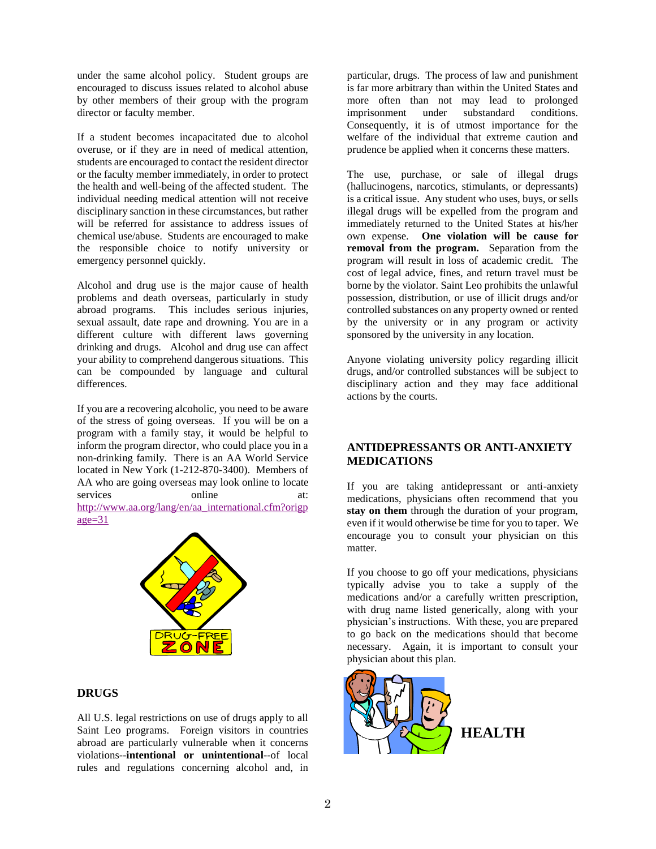under the same alcohol policy. Student groups are encouraged to discuss issues related to alcohol abuse by other members of their group with the program director or faculty member.

If a student becomes incapacitated due to alcohol overuse, or if they are in need of medical attention, students are encouraged to contact the resident director or the faculty member immediately, in order to protect the health and well-being of the affected student. The individual needing medical attention will not receive disciplinary sanction in these circumstances, but rather will be referred for assistance to address issues of chemical use/abuse. Students are encouraged to make the responsible choice to notify university or emergency personnel quickly.

Alcohol and drug use is the major cause of health problems and death overseas, particularly in study abroad programs. This includes serious injuries, sexual assault, date rape and drowning. You are in a different culture with different laws governing drinking and drugs. Alcohol and drug use can affect your ability to comprehend dangerous situations. This can be compounded by language and cultural differences.

If you are a recovering alcoholic, you need to be aware of the stress of going overseas. If you will be on a program with a family stay, it would be helpful to inform the program director, who could place you in a non-drinking family. There is an AA World Service located in New York (1-212-870-3400). Members of AA who are going overseas may look online to locate services online at: [http://www.aa.org/lang/en/aa\\_international.cfm?origp](http://www.aa.org/lang/en/aa_international.cfm?origpage=31) [age=31](http://www.aa.org/lang/en/aa_international.cfm?origpage=31)



#### <span id="page-2-0"></span>**DRUGS**

All U.S. legal restrictions on use of drugs apply to all Saint Leo programs. Foreign visitors in countries abroad are particularly vulnerable when it concerns violations--**intentional or unintentional**--of local rules and regulations concerning alcohol and, in particular, drugs. The process of law and punishment is far more arbitrary than within the United States and more often than not may lead to prolonged imprisonment under substandard conditions. Consequently, it is of utmost importance for the welfare of the individual that extreme caution and prudence be applied when it concerns these matters.

The use, purchase, or sale of illegal drugs (hallucinogens, narcotics, stimulants, or depressants) is a critical issue. Any student who uses, buys, or sells illegal drugs will be expelled from the program and immediately returned to the United States at his/her own expense. **One violation will be cause for removal from the program.** Separation from the program will result in loss of academic credit. The cost of legal advice, fines, and return travel must be borne by the violator. Saint Leo prohibits the unlawful possession, distribution, or use of illicit drugs and/or controlled substances on any property owned or rented by the university or in any program or activity sponsored by the university in any location.

Anyone violating university policy regarding illicit drugs, and/or controlled substances will be subject to disciplinary action and they may face additional actions by the courts.

#### <span id="page-2-1"></span>**ANTIDEPRESSANTS OR ANTI-ANXIETY MEDICATIONS**

If you are taking antidepressant or anti-anxiety medications, physicians often recommend that you **stay on them** through the duration of your program, even if it would otherwise be time for you to taper. We encourage you to consult your physician on this matter.

If you choose to go off your medications, physicians typically advise you to take a supply of the medications and/or a carefully written prescription, with drug name listed generically, along with your physician's instructions. With these, you are prepared to go back on the medications should that become necessary. Again, it is important to consult your physician about this plan.

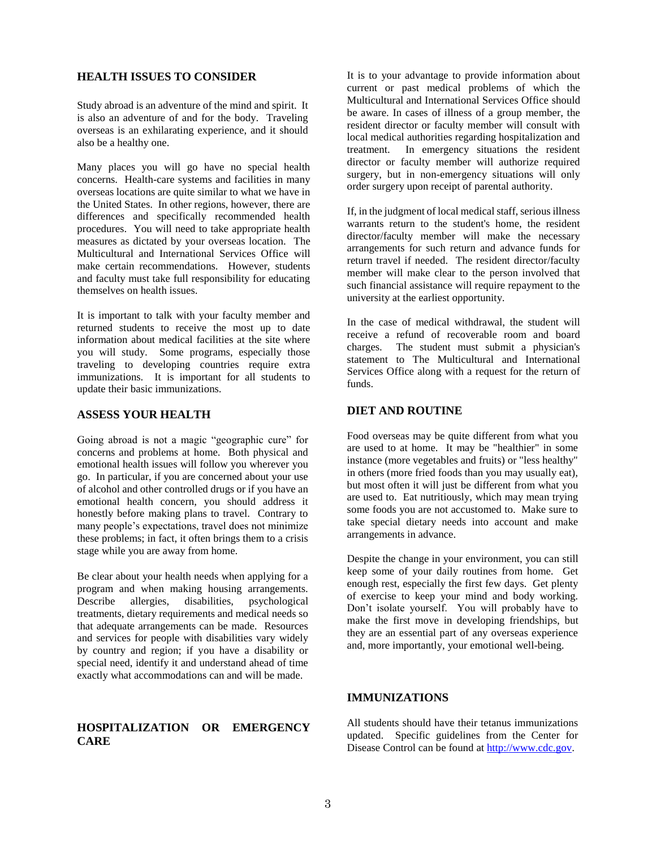#### **HEALTH ISSUES TO CONSIDER**

Study abroad is an adventure of the mind and spirit. It is also an adventure of and for the body. Traveling overseas is an exhilarating experience, and it should also be a healthy one.

Many places you will go have no special health concerns. Health-care systems and facilities in many overseas locations are quite similar to what we have in the United States. In other regions, however, there are differences and specifically recommended health procedures. You will need to take appropriate health measures as dictated by your overseas location. The Multicultural and International Services Office will make certain recommendations. However, students and faculty must take full responsibility for educating themselves on health issues.

It is important to talk with your faculty member and returned students to receive the most up to date information about medical facilities at the site where you will study. Some programs, especially those traveling to developing countries require extra immunizations. It is important for all students to update their basic immunizations.

#### <span id="page-3-0"></span>**ASSESS YOUR HEALTH**

Going abroad is not a magic "geographic cure" for concerns and problems at home. Both physical and emotional health issues will follow you wherever you go. In particular, if you are concerned about your use of alcohol and other controlled drugs or if you have an emotional health concern, you should address it honestly before making plans to travel. Contrary to many people's expectations, travel does not minimize these problems; in fact, it often brings them to a crisis stage while you are away from home.

Be clear about your health needs when applying for a program and when making housing arrangements. Describe allergies, disabilities, psychological treatments, dietary requirements and medical needs so that adequate arrangements can be made. Resources and services for people with disabilities vary widely by country and region; if you have a disability or special need, identify it and understand ahead of time exactly what accommodations can and will be made.

#### **HOSPITALIZATION OR EMERGENCY CARE**

It is to your advantage to provide information about current or past medical problems of which the Multicultural and International Services Office should be aware. In cases of illness of a group member, the resident director or faculty member will consult with local medical authorities regarding hospitalization and treatment. In emergency situations the resident director or faculty member will authorize required surgery, but in non-emergency situations will only order surgery upon receipt of parental authority.

If, in the judgment of local medical staff, serious illness warrants return to the student's home, the resident director/faculty member will make the necessary arrangements for such return and advance funds for return travel if needed. The resident director/faculty member will make clear to the person involved that such financial assistance will require repayment to the university at the earliest opportunity.

In the case of medical withdrawal, the student will receive a refund of recoverable room and board charges. The student must submit a physician's statement to The Multicultural and International Services Office along with a request for the return of funds.

#### <span id="page-3-1"></span>**DIET AND ROUTINE**

Food overseas may be quite different from what you are used to at home. It may be "healthier" in some instance (more vegetables and fruits) or "less healthy" in others (more fried foods than you may usually eat), but most often it will just be different from what you are used to. Eat nutritiously, which may mean trying some foods you are not accustomed to. Make sure to take special dietary needs into account and make arrangements in advance.

Despite the change in your environment, you can still keep some of your daily routines from home. Get enough rest, especially the first few days. Get plenty of exercise to keep your mind and body working. Don't isolate yourself. You will probably have to make the first move in developing friendships, but they are an essential part of any overseas experience and, more importantly, your emotional well-being.

#### <span id="page-3-2"></span>**IMMUNIZATIONS**

All students should have their tetanus immunizations updated. Specific guidelines from the Center for Disease Control can be found a[t http://www.cdc.gov.](http://www.cdc.gov/)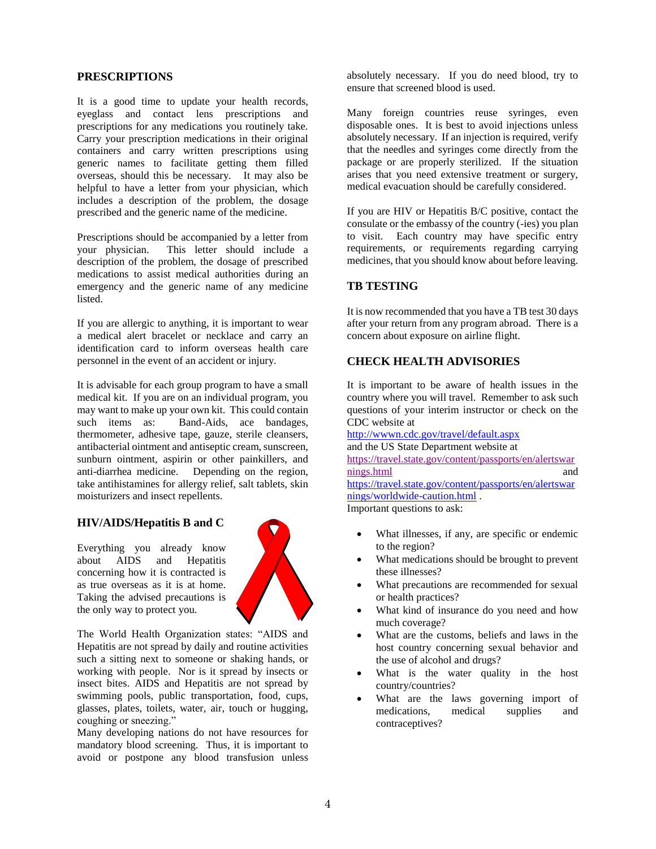#### <span id="page-4-0"></span>**PRESCRIPTIONS**

It is a good time to update your health records, eyeglass and contact lens prescriptions and prescriptions for any medications you routinely take. Carry your prescription medications in their original containers and carry written prescriptions using generic names to facilitate getting them filled overseas, should this be necessary. It may also be helpful to have a letter from your physician, which includes a description of the problem, the dosage prescribed and the generic name of the medicine.

Prescriptions should be accompanied by a letter from your physician. This letter should include a description of the problem, the dosage of prescribed medications to assist medical authorities during an emergency and the generic name of any medicine listed.

If you are allergic to anything, it is important to wear a medical alert bracelet or necklace and carry an identification card to inform overseas health care personnel in the event of an accident or injury.

It is advisable for each group program to have a small medical kit. If you are on an individual program, you may want to make up your own kit. This could contain such items as: Band-Aids, ace bandages, thermometer, adhesive tape, gauze, sterile cleansers, antibacterial ointment and antiseptic cream, sunscreen, sunburn ointment, aspirin or other painkillers, and anti-diarrhea medicine. Depending on the region, take antihistamines for allergy relief, salt tablets, skin moisturizers and insect repellents.

#### **HIV/AIDS/Hepatitis B and C**

Everything you already know about AIDS and Hepatitis concerning how it is contracted is as true overseas as it is at home. Taking the advised precautions is the only way to protect you.



The World Health Organization states: "AIDS and Hepatitis are not spread by daily and routine activities such a sitting next to someone or shaking hands, or working with people. Nor is it spread by insects or insect bites. AIDS and Hepatitis are not spread by swimming pools, public transportation, food, cups, glasses, plates, toilets, water, air, touch or hugging, coughing or sneezing."

Many developing nations do not have resources for mandatory blood screening. Thus, it is important to avoid or postpone any blood transfusion unless

absolutely necessary. If you do need blood, try to ensure that screened blood is used.

Many foreign countries reuse syringes, even disposable ones. It is best to avoid injections unless absolutely necessary. If an injection is required, verify that the needles and syringes come directly from the package or are properly sterilized. If the situation arises that you need extensive treatment or surgery, medical evacuation should be carefully considered.

If you are HIV or Hepatitis B/C positive, contact the consulate or the embassy of the country (-ies) you plan to visit. Each country may have specific entry requirements, or requirements regarding carrying medicines, that you should know about before leaving.

#### <span id="page-4-1"></span>**TB TESTING**

It is now recommended that you have a TB test 30 days after your return from any program abroad. There is a concern about exposure on airline flight.

#### <span id="page-4-2"></span>**CHECK HEALTH ADVISORIES**

It is important to be aware of health issues in the country where you will travel. Remember to ask such questions of your interim instructor or check on the CDC website at

<http://wwwn.cdc.gov/travel/default.aspx> and the US State Department website at [https://travel.state.gov/content/passports/en/alertswar](https://travel.state.gov/content/passports/en/alertswarnings.html) [nings.html](https://travel.state.gov/content/passports/en/alertswarnings.html) and [https://travel.state.gov/content/passports/en/alertswar](https://travel.state.gov/content/passports/en/alertswarnings/worldwide-caution.html) [nings/worldwide-caution.html](https://travel.state.gov/content/passports/en/alertswarnings/worldwide-caution.html) . Important questions to ask:

- What illnesses, if any, are specific or endemic to the region?
- What medications should be brought to prevent these illnesses?
- What precautions are recommended for sexual or health practices?
- What kind of insurance do you need and how much coverage?
- What are the customs, beliefs and laws in the host country concerning sexual behavior and the use of alcohol and drugs?
- What is the water quality in the host country/countries?
- <span id="page-4-3"></span> What are the laws governing import of medications, medical supplies and contraceptives?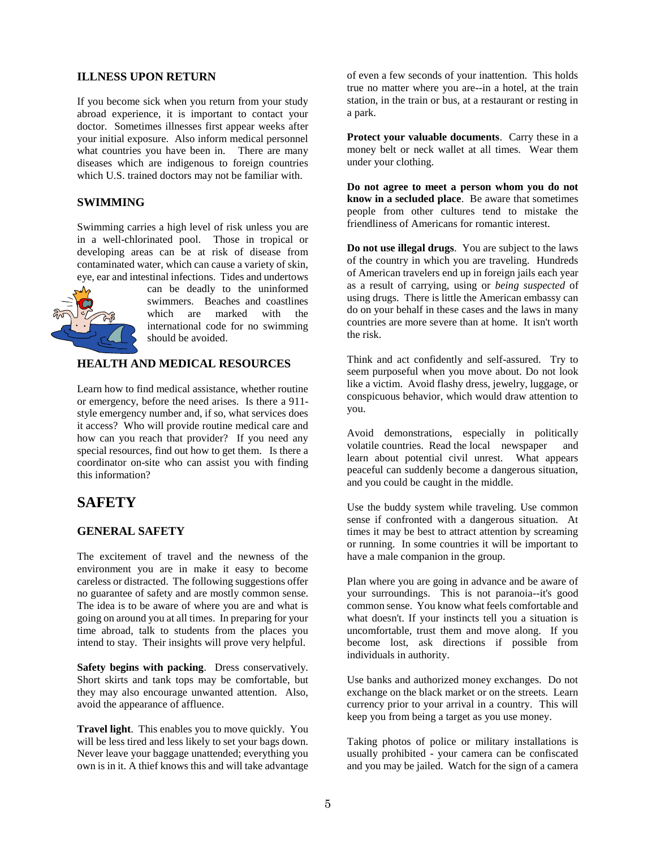#### **ILLNESS UPON RETURN**

If you become sick when you return from your study abroad experience, it is important to contact your doctor. Sometimes illnesses first appear weeks after your initial exposure. Also inform medical personnel what countries you have been in. There are many diseases which are indigenous to foreign countries which U.S. trained doctors may not be familiar with.

#### **SWIMMING**

Swimming carries a high level of risk unless you are in a well-chlorinated pool. Those in tropical or developing areas can be at risk of disease from contaminated water, which can cause a variety of skin, eye, ear and intestinal infections. Tides and undertows



can be deadly to the uninformed swimmers. Beaches and coastlines which are marked with the international code for no swimming should be avoided.

#### **HEALTH AND MEDICAL RESOURCES**

Learn how to find medical assistance, whether routine or emergency, before the need arises. Is there a 911 style emergency number and, if so, what services does it access? Who will provide routine medical care and how can you reach that provider? If you need any special resources, find out how to get them. Is there a coordinator on-site who can assist you with finding this information?

# **SAFETY**

#### **GENERAL SAFETY**

The excitement of travel and the newness of the environment you are in make it easy to become careless or distracted. The following suggestions offer no guarantee of safety and are mostly common sense. The idea is to be aware of where you are and what is going on around you at all times. In preparing for your time abroad, talk to students from the places you intend to stay. Their insights will prove very helpful.

**Safety begins with packing**. Dress conservatively. Short skirts and tank tops may be comfortable, but they may also encourage unwanted attention. Also, avoid the appearance of affluence.

**Travel light**. This enables you to move quickly. You will be less tired and less likely to set your bags down. Never leave your baggage unattended; everything you own is in it. A thief knows this and will take advantage

of even a few seconds of your inattention. This holds true no matter where you are--in a hotel, at the train station, in the train or bus, at a restaurant or resting in a park.

**Protect your valuable documents**. Carry these in a money belt or neck wallet at all times. Wear them under your clothing.

**Do not agree to meet a person whom you do not know in a secluded place**. Be aware that sometimes people from other cultures tend to mistake the friendliness of Americans for romantic interest.

**Do not use illegal drugs**. You are subject to the laws of the country in which you are traveling. Hundreds of American travelers end up in foreign jails each year as a result of carrying, using or *being suspected* of using drugs. There is little the American embassy can do on your behalf in these cases and the laws in many countries are more severe than at home. It isn't worth the risk.

Think and act confidently and self-assured. Try to seem purposeful when you move about. Do not look like a victim. Avoid flashy dress, jewelry, luggage, or conspicuous behavior, which would draw attention to you.

Avoid demonstrations, especially in politically volatile countries. Read the local newspaper and learn about potential civil unrest. What appears peaceful can suddenly become a dangerous situation, and you could be caught in the middle.

Use the buddy system while traveling. Use common sense if confronted with a dangerous situation. At times it may be best to attract attention by screaming or running. In some countries it will be important to have a male companion in the group.

Plan where you are going in advance and be aware of your surroundings. This is not paranoia--it's good common sense. You know what feels comfortable and what doesn't. If your instincts tell you a situation is uncomfortable, trust them and move along. If you become lost, ask directions if possible from individuals in authority.

Use banks and authorized money exchanges. Do not exchange on the black market or on the streets. Learn currency prior to your arrival in a country. This will keep you from being a target as you use money.

Taking photos of police or military installations is usually prohibited - your camera can be confiscated and you may be jailed. Watch for the sign of a camera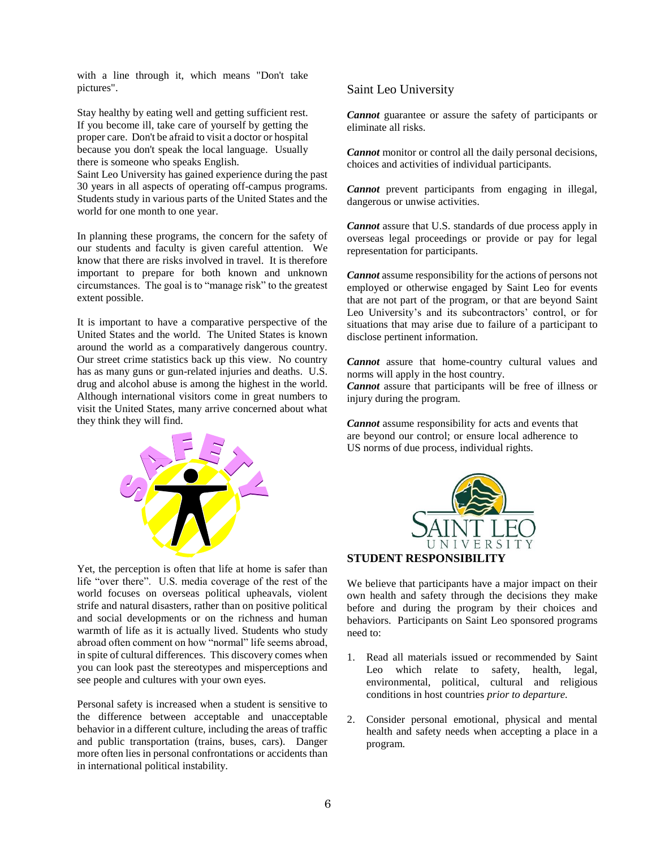with a line through it, which means "Don't take pictures".

Stay healthy by eating well and getting sufficient rest. If you become ill, take care of yourself by getting the proper care. Don't be afraid to visit a doctor or hospital because you don't speak the local language. Usually there is someone who speaks English.

Saint Leo University has gained experience during the past 30 years in all aspects of operating off-campus programs. Students study in various parts of the United States and the world for one month to one year.

In planning these programs, the concern for the safety of our students and faculty is given careful attention. We know that there are risks involved in travel. It is therefore important to prepare for both known and unknown circumstances. The goal is to "manage risk" to the greatest extent possible.

It is important to have a comparative perspective of the United States and the world. The United States is known around the world as a comparatively dangerous country. Our street crime statistics back up this view. No country has as many guns or gun-related injuries and deaths. U.S. drug and alcohol abuse is among the highest in the world. Although international visitors come in great numbers to visit the United States, many arrive concerned about what they think they will find.



Yet, the perception is often that life at home is safer than life "over there". U.S. media coverage of the rest of the world focuses on overseas political upheavals, violent strife and natural disasters, rather than on positive political and social developments or on the richness and human warmth of life as it is actually lived. Students who study abroad often comment on how "normal" life seems abroad, in spite of cultural differences. This discovery comes when you can look past the stereotypes and misperceptions and see people and cultures with your own eyes.

Personal safety is increased when a student is sensitive to the difference between acceptable and unacceptable behavior in a different culture, including the areas of traffic and public transportation (trains, buses, cars). Danger more often lies in personal confrontations or accidents than in international political instability.

### Saint Leo University

*Cannot* guarantee or assure the safety of participants or eliminate all risks.

*Cannot* monitor or control all the daily personal decisions, choices and activities of individual participants.

*Cannot* prevent participants from engaging in illegal, dangerous or unwise activities.

*Cannot* assure that U.S. standards of due process apply in overseas legal proceedings or provide or pay for legal representation for participants.

*Cannot* assume responsibility for the actions of persons not employed or otherwise engaged by Saint Leo for events that are not part of the program, or that are beyond Saint Leo University's and its subcontractors' control, or for situations that may arise due to failure of a participant to disclose pertinent information.

*Cannot* assure that home-country cultural values and norms will apply in the host country.

*Cannot* assure that participants will be free of illness or injury during the program.

*Cannot* assume responsibility for acts and events that are beyond our control; or ensure local adherence to US norms of due process, individual rights.



We believe that participants have a major impact on their own health and safety through the decisions they make before and during the program by their choices and behaviors. Participants on Saint Leo sponsored programs need to:

- 1. Read all materials issued or recommended by Saint Leo which relate to safety, health, legal, environmental, political, cultural and religious conditions in host countries *prior to departure.*
- 2. Consider personal emotional, physical and mental health and safety needs when accepting a place in a program.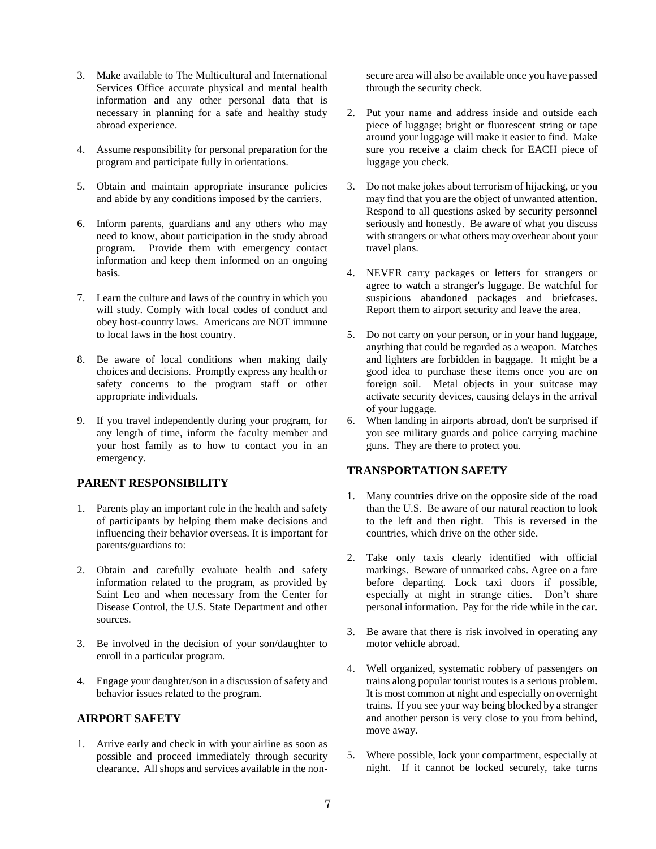- 3. Make available to The Multicultural and International Services Office accurate physical and mental health information and any other personal data that is necessary in planning for a safe and healthy study abroad experience.
- 4. Assume responsibility for personal preparation for the program and participate fully in orientations.
- 5. Obtain and maintain appropriate insurance policies and abide by any conditions imposed by the carriers.
- 6. Inform parents, guardians and any others who may need to know, about participation in the study abroad program. Provide them with emergency contact information and keep them informed on an ongoing basis.
- 7. Learn the culture and laws of the country in which you will study. Comply with local codes of conduct and obey host-country laws. Americans are NOT immune to local laws in the host country.
- 8. Be aware of local conditions when making daily choices and decisions. Promptly express any health or safety concerns to the program staff or other appropriate individuals.
- 9. If you travel independently during your program, for any length of time, inform the faculty member and your host family as to how to contact you in an emergency.

#### **PARENT RESPONSIBILITY**

- 1. Parents play an important role in the health and safety of participants by helping them make decisions and influencing their behavior overseas. It is important for parents/guardians to:
- 2. Obtain and carefully evaluate health and safety information related to the program, as provided by Saint Leo and when necessary from the Center for Disease Control, the U.S. State Department and other sources.
- 3. Be involved in the decision of your son/daughter to enroll in a particular program.
- 4. Engage your daughter/son in a discussion of safety and behavior issues related to the program.

#### <span id="page-7-0"></span>**AIRPORT SAFETY**

1. Arrive early and check in with your airline as soon as possible and proceed immediately through security clearance. All shops and services available in the nonsecure area will also be available once you have passed through the security check.

- 2. Put your name and address inside and outside each piece of luggage; bright or fluorescent string or tape around your luggage will make it easier to find. Make sure you receive a claim check for EACH piece of luggage you check.
- 3. Do not make jokes about terrorism of hijacking, or you may find that you are the object of unwanted attention. Respond to all questions asked by security personnel seriously and honestly. Be aware of what you discuss with strangers or what others may overhear about your travel plans.
- 4. NEVER carry packages or letters for strangers or agree to watch a stranger's luggage. Be watchful for suspicious abandoned packages and briefcases. Report them to airport security and leave the area.
- 5. Do not carry on your person, or in your hand luggage, anything that could be regarded as a weapon. Matches and lighters are forbidden in baggage. It might be a good idea to purchase these items once you are on foreign soil. Metal objects in your suitcase may activate security devices, causing delays in the arrival of your luggage.
- 6. When landing in airports abroad, don't be surprised if you see military guards and police carrying machine guns. They are there to protect you.

#### <span id="page-7-1"></span>**TRANSPORTATION SAFETY**

- 1. Many countries drive on the opposite side of the road than the U.S. Be aware of our natural reaction to look to the left and then right. This is reversed in the countries, which drive on the other side.
- 2. Take only taxis clearly identified with official markings. Beware of unmarked cabs. Agree on a fare before departing. Lock taxi doors if possible, especially at night in strange cities. Don't share personal information. Pay for the ride while in the car.
- 3. Be aware that there is risk involved in operating any motor vehicle abroad.
- 4. Well organized, systematic robbery of passengers on trains along popular tourist routes is a serious problem. It is most common at night and especially on overnight trains. If you see your way being blocked by a stranger and another person is very close to you from behind, move away.
- 5. Where possible, lock your compartment, especially at night. If it cannot be locked securely, take turns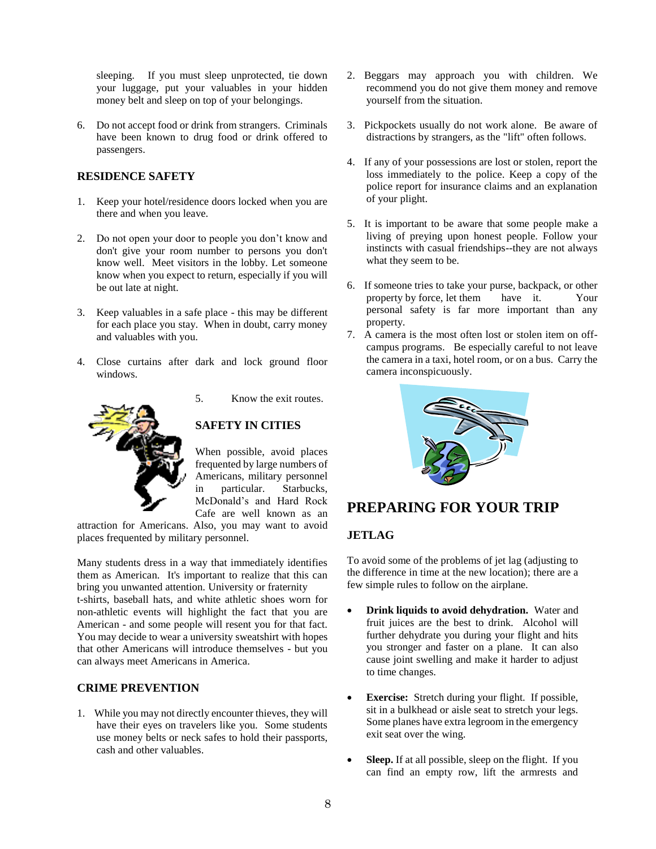sleeping. If you must sleep unprotected, tie down your luggage, put your valuables in your hidden money belt and sleep on top of your belongings.

6. Do not accept food or drink from strangers. Criminals have been known to drug food or drink offered to passengers.

#### <span id="page-8-0"></span>**RESIDENCE SAFETY**

- 1. Keep your hotel/residence doors locked when you are there and when you leave.
- 2. Do not open your door to people you don't know and don't give your room number to persons you don't know well. Meet visitors in the lobby. Let someone know when you expect to return, especially if you will be out late at night.
- 3. Keep valuables in a safe place this may be different for each place you stay. When in doubt, carry money and valuables with you.
- 4. Close curtains after dark and lock ground floor windows.



5. Know the exit routes.

#### <span id="page-8-1"></span>**SAFETY IN CITIES**

When possible, avoid places frequented by large numbers of Americans, military personnel in particular. Starbucks, McDonald's and Hard Rock Cafe are well known as an

attraction for Americans. Also, you may want to avoid places frequented by military personnel.

Many students dress in a way that immediately identifies them as American. It's important to realize that this can bring you unwanted attention. University or fraternity t-shirts, baseball hats, and white athletic shoes worn for non-athletic events will highlight the fact that you are American - and some people will resent you for that fact. You may decide to wear a university sweatshirt with hopes that other Americans will introduce themselves - but you can always meet Americans in America.

#### **CRIME PREVENTION**

1. While you may not directly encounter thieves, they will have their eyes on travelers like you. Some students use money belts or neck safes to hold their passports, cash and other valuables.

- 2. Beggars may approach you with children. We recommend you do not give them money and remove yourself from the situation.
- 3. Pickpockets usually do not work alone. Be aware of distractions by strangers, as the "lift" often follows.
- 4. If any of your possessions are lost or stolen, report the loss immediately to the police. Keep a copy of the police report for insurance claims and an explanation of your plight.
- 5. It is important to be aware that some people make a living of preying upon honest people. Follow your instincts with casual friendships--they are not always what they seem to be.
- 6. If someone tries to take your purse, backpack, or other property by force, let them have it. Your personal safety is far more important than any property.
- 7. A camera is the most often lost or stolen item on offcampus programs. Be especially careful to not leave the camera in a taxi, hotel room, or on a bus. Carry the camera inconspicuously.



# **PREPARING FOR YOUR TRIP**

#### <span id="page-8-2"></span>**JETLAG**

To avoid some of the problems of jet lag (adjusting to the difference in time at the new location); there are a few simple rules to follow on the airplane.

- **Drink liquids to avoid dehydration.** Water and fruit juices are the best to drink. Alcohol will further dehydrate you during your flight and hits you stronger and faster on a plane. It can also cause joint swelling and make it harder to adjust to time changes.
- **Exercise:** Stretch during your flight. If possible, sit in a bulkhead or aisle seat to stretch your legs. Some planes have extra legroom in the emergency exit seat over the wing.
- **Sleep.** If at all possible, sleep on the flight. If you can find an empty row, lift the armrests and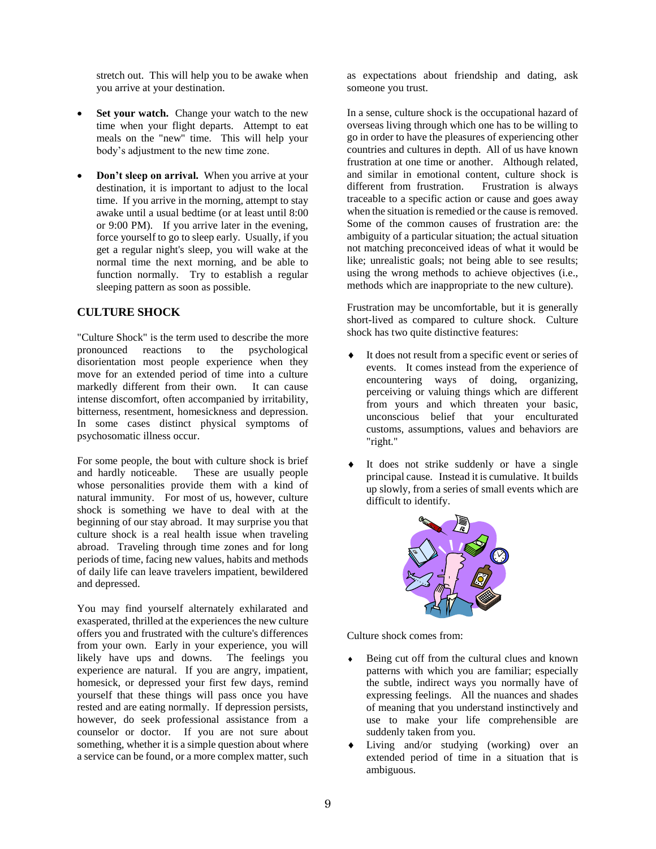stretch out. This will help you to be awake when you arrive at your destination.

- Set your watch. Change your watch to the new time when your flight departs. Attempt to eat meals on the "new" time. This will help your body's adjustment to the new time zone.
- **Don't sleep on arrival.** When you arrive at your destination, it is important to adjust to the local time. If you arrive in the morning, attempt to stay awake until a usual bedtime (or at least until 8:00 or 9:00 PM). If you arrive later in the evening, force yourself to go to sleep early. Usually, if you get a regular night's sleep, you will wake at the normal time the next morning, and be able to function normally. Try to establish a regular sleeping pattern as soon as possible.

#### <span id="page-9-0"></span>**CULTURE SHOCK**

"Culture Shock" is the term used to describe the more pronounced reactions to the psychological disorientation most people experience when they move for an extended period of time into a culture markedly different from their own. It can cause intense discomfort, often accompanied by irritability, bitterness, resentment, homesickness and depression. In some cases distinct physical symptoms of psychosomatic illness occur.

For some people, the bout with culture shock is brief and hardly noticeable. These are usually people whose personalities provide them with a kind of natural immunity. For most of us, however, culture shock is something we have to deal with at the beginning of our stay abroad. It may surprise you that culture shock is a real health issue when traveling abroad. Traveling through time zones and for long periods of time, facing new values, habits and methods of daily life can leave travelers impatient, bewildered and depressed.

You may find yourself alternately exhilarated and exasperated, thrilled at the experiences the new culture offers you and frustrated with the culture's differences from your own. Early in your experience, you will likely have ups and downs. The feelings you experience are natural. If you are angry, impatient, homesick, or depressed your first few days, remind yourself that these things will pass once you have rested and are eating normally. If depression persists, however, do seek professional assistance from a counselor or doctor. If you are not sure about something, whether it is a simple question about where a service can be found, or a more complex matter, such

as expectations about friendship and dating, ask someone you trust.

In a sense, culture shock is the occupational hazard of overseas living through which one has to be willing to go in order to have the pleasures of experiencing other countries and cultures in depth. All of us have known frustration at one time or another. Although related, and similar in emotional content, culture shock is different from frustration. Frustration is always traceable to a specific action or cause and goes away when the situation is remedied or the cause is removed. Some of the common causes of frustration are: the ambiguity of a particular situation; the actual situation not matching preconceived ideas of what it would be like; unrealistic goals; not being able to see results; using the wrong methods to achieve objectives (i.e., methods which are inappropriate to the new culture).

Frustration may be uncomfortable, but it is generally short-lived as compared to culture shock. Culture shock has two quite distinctive features:

- It does not result from a specific event or series of events. It comes instead from the experience of encountering ways of doing, organizing, perceiving or valuing things which are different from yours and which threaten your basic, unconscious belief that your enculturated customs, assumptions, values and behaviors are "right."
- It does not strike suddenly or have a single principal cause. Instead it is cumulative. It builds up slowly, from a series of small events which are difficult to identify.



Culture shock comes from:

- Being cut off from the cultural clues and known patterns with which you are familiar; especially the subtle, indirect ways you normally have of expressing feelings. All the nuances and shades of meaning that you understand instinctively and use to make your life comprehensible are suddenly taken from you.
- Living and/or studying (working) over an extended period of time in a situation that is ambiguous.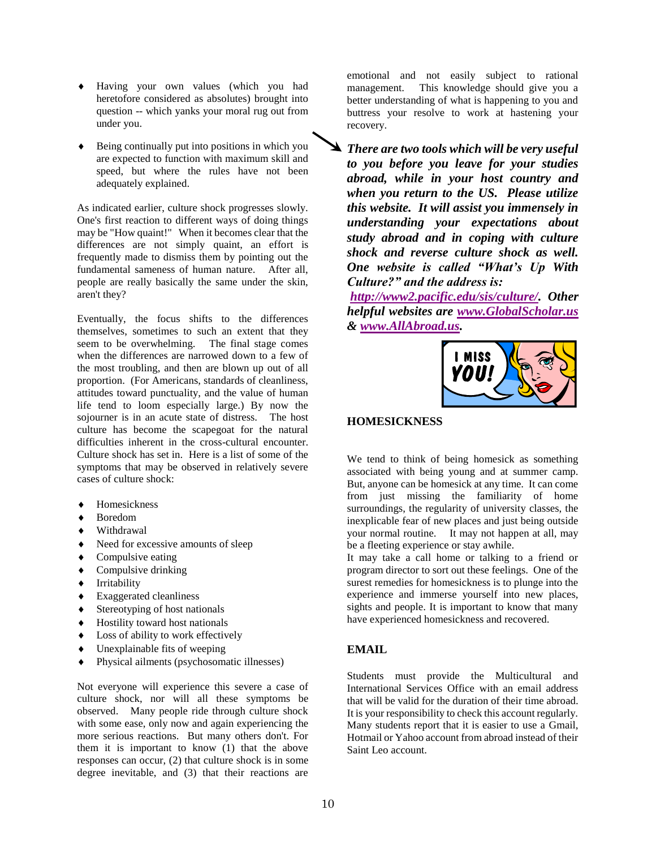- Having your own values (which you had heretofore considered as absolutes) brought into question -- which yanks your moral rug out from under you.
- Being continually put into positions in which you are expected to function with maximum skill and speed, but where the rules have not been adequately explained.

As indicated earlier, culture shock progresses slowly. One's first reaction to different ways of doing things may be "How quaint!" When it becomes clear that the differences are not simply quaint, an effort is frequently made to dismiss them by pointing out the fundamental sameness of human nature. After all, people are really basically the same under the skin, aren't they?

Eventually, the focus shifts to the differences themselves, sometimes to such an extent that they seem to be overwhelming. The final stage comes when the differences are narrowed down to a few of the most troubling, and then are blown up out of all proportion. (For Americans, standards of cleanliness, attitudes toward punctuality, and the value of human life tend to loom especially large.) By now the sojourner is in an acute state of distress. The host culture has become the scapegoat for the natural difficulties inherent in the cross-cultural encounter. Culture shock has set in. Here is a list of some of the symptoms that may be observed in relatively severe cases of culture shock:

- ◆ Homesickness
- Boredom
- Withdrawal
- Need for excessive amounts of sleep
- $\bullet$  Compulsive eating
- $\triangleleft$  Compulsive drinking
- **+** Irritability
- Exaggerated cleanliness
- ◆ Stereotyping of host nationals
- Hostility toward host nationals
- $\triangleleft$  Loss of ability to work effectively
- Unexplainable fits of weeping
- Physical ailments (psychosomatic illnesses)

Not everyone will experience this severe a case of culture shock, nor will all these symptoms be observed. Many people ride through culture shock with some ease, only now and again experiencing the more serious reactions. But many others don't. For them it is important to know (1) that the above responses can occur, (2) that culture shock is in some degree inevitable, and (3) that their reactions are

emotional and not easily subject to rational management. This knowledge should give you a better understanding of what is happening to you and buttress your resolve to work at hastening your recovery.

*There are two tools which will be very useful to you before you leave for your studies abroad, while in your host country and when you return to the US. Please utilize this website. It will assist you immensely in understanding your expectations about study abroad and in coping with culture shock and reverse culture shock as well. One website is called "What's Up With Culture?" and the address is:*

*[http://www2.pacific.edu/sis/culture/.](http://www2.pacific.edu/sis/culture/) Other helpful websites are [www.GlobalScholar.us](http://www.globalscholar.us/) & [www.AllAbroad.us.](http://www.allabroad.us/)* 



#### **HOMESICKNESS**

We tend to think of being homesick as something associated with being young and at summer camp. But, anyone can be homesick at any time. It can come from just missing the familiarity of home surroundings, the regularity of university classes, the inexplicable fear of new places and just being outside your normal routine. It may not happen at all, may be a fleeting experience or stay awhile.

It may take a call home or talking to a friend or program director to sort out these feelings. One of the surest remedies for homesickness is to plunge into the experience and immerse yourself into new places, sights and people. It is important to know that many have experienced homesickness and recovered.

#### **EMAIL**

Students must provide the Multicultural and International Services Office with an email address that will be valid for the duration of their time abroad. It is your responsibility to check this account regularly. Many students report that it is easier to use a Gmail, Hotmail or Yahoo account from abroad instead of their Saint Leo account.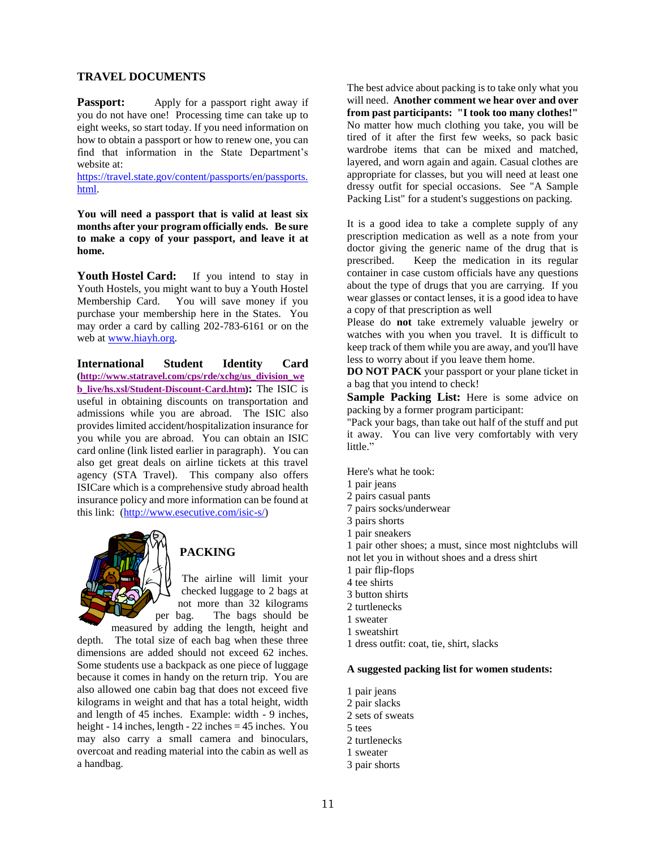#### **TRAVEL DOCUMENTS**

**Passport:** Apply for a passport right away if you do not have one! Processing time can take up to eight weeks, so start today. If you need information on how to obtain a passport or how to renew one, you can find that information in the State Department's website at:

[https://travel.state.gov/content/passports/en/passports.](https://travel.state.gov/content/passports/en/passports.html) [html.](https://travel.state.gov/content/passports/en/passports.html)

**You will need a passport that is valid at least six months after your program officially ends. Be sure to make a copy of your passport, and leave it at home.**

Youth Hostel Card: If you intend to stay in Youth Hostels, you might want to buy a Youth Hostel Membership Card. You will save money if you purchase your membership here in the States. You may order a card by calling 202-783-6161 or on the web at [www.hiayh.org.](http://www.hiayh.org/)

**International Student Identity Card [\(http://www.statravel.com/cps/rde/xchg/us\\_division\\_we](http://www.statravel.com/cps/rde/xchg/us_division_web_live/hs.xsl/Student-Discount-Card.htm) [b\\_live/hs.xsl/Student-Discount-Card.htm\)](http://www.statravel.com/cps/rde/xchg/us_division_web_live/hs.xsl/Student-Discount-Card.htm):** The ISIC is useful in obtaining discounts on transportation and admissions while you are abroad. The ISIC also provides limited accident/hospitalization insurance for you while you are abroad. You can obtain an ISIC card online (link listed earlier in paragraph). You can also get great deals on airline tickets at this travel agency (STA Travel). This company also offers ISICare which is a comprehensive study abroad health insurance policy and more information can be found at this link: [\(http://www.esecutive.com/isic-s/\)](http://www.esecutive.com/isic-s/)



# **PACKING**

The airline will limit your checked luggage to 2 bags at not more than 32 kilograms per bag. The bags should be

measured by adding the length, height and depth. The total size of each bag when these three dimensions are added should not exceed 62 inches. Some students use a backpack as one piece of luggage because it comes in handy on the return trip. You are also allowed one cabin bag that does not exceed five kilograms in weight and that has a total height, width and length of 45 inches. Example: width - 9 inches, height - 14 inches, length - 22 inches  $= 45$  inches. You may also carry a small camera and binoculars, overcoat and reading material into the cabin as well as a handbag.

The best advice about packing is to take only what you will need. **Another comment we hear over and over from past participants: "I took too many clothes!"**  No matter how much clothing you take, you will be tired of it after the first few weeks, so pack basic wardrobe items that can be mixed and matched, layered, and worn again and again. Casual clothes are appropriate for classes, but you will need at least one dressy outfit for special occasions. See "A Sample Packing List" for a student's suggestions on packing.

It is a good idea to take a complete supply of any prescription medication as well as a note from your doctor giving the generic name of the drug that is prescribed. Keep the medication in its regular container in case custom officials have any questions about the type of drugs that you are carrying. If you wear glasses or contact lenses, it is a good idea to have a copy of that prescription as well

Please do **not** take extremely valuable jewelry or watches with you when you travel. It is difficult to keep track of them while you are away, and you'll have less to worry about if you leave them home.

**DO NOT PACK** your passport or your plane ticket in a bag that you intend to check!

**Sample Packing List:** Here is some advice on packing by a former program participant:

"Pack your bags, than take out half of the stuff and put it away. You can live very comfortably with very little."

Here's what he took:

- 1 pair jeans
- 2 pairs casual pants
- 7 pairs socks/underwear
- 3 pairs shorts
- 1 pair sneakers

1 pair other shoes; a must, since most nightclubs will not let you in without shoes and a dress shirt

- 1 pair flip-flops
- 4 tee shirts
- 3 button shirts
- 2 turtlenecks
- 1 sweater
- 1 sweatshirt
- 1 dress outfit: coat, tie, shirt, slacks

#### **A suggested packing list for women students:**

- 1 pair jeans
- 2 pair slacks
- 2 sets of sweats
- 5 tees
- 2 turtlenecks
- 1 sweater
- 3 pair shorts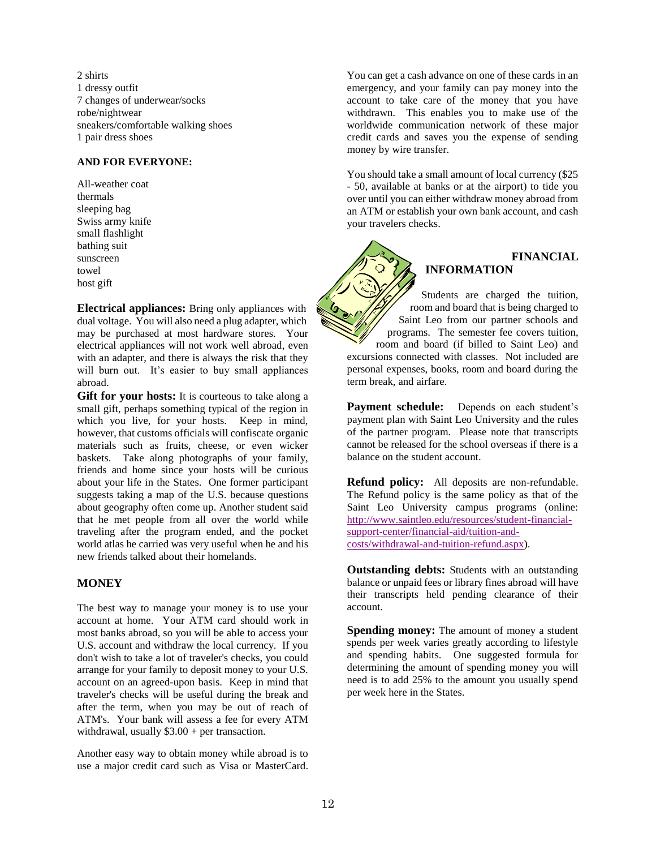2 shirts 1 dressy outfit 7 changes of underwear/socks robe/nightwear sneakers/comfortable walking shoes 1 pair dress shoes

#### **AND FOR EVERYONE:**

All-weather coat thermals sleeping bag Swiss army knife small flashlight bathing suit sunscreen towel host gift

**Electrical appliances:** Bring only appliances with dual voltage. You will also need a plug adapter, which may be purchased at most hardware stores. Your electrical appliances will not work well abroad, even with an adapter, and there is always the risk that they will burn out. It's easier to buy small appliances abroad.

**Gift for your hosts:** It is courteous to take along a small gift, perhaps something typical of the region in which you live, for your hosts. Keep in mind, however, that customs officials will confiscate organic materials such as fruits, cheese, or even wicker baskets. Take along photographs of your family, friends and home since your hosts will be curious about your life in the States. One former participant suggests taking a map of the U.S. because questions about geography often come up. Another student said that he met people from all over the world while traveling after the program ended, and the pocket world atlas he carried was very useful when he and his new friends talked about their homelands.

#### **MONEY**

The best way to manage your money is to use your account at home. Your ATM card should work in most banks abroad, so you will be able to access your U.S. account and withdraw the local currency. If you don't wish to take a lot of traveler's checks, you could arrange for your family to deposit money to your U.S. account on an agreed-upon basis. Keep in mind that traveler's checks will be useful during the break and after the term, when you may be out of reach of ATM's. Your bank will assess a fee for every ATM withdrawal, usually  $$3.00 + per$  transaction.

Another easy way to obtain money while abroad is to use a major credit card such as Visa or MasterCard. You can get a cash advance on one of these cards in an emergency, and your family can pay money into the account to take care of the money that you have withdrawn. This enables you to make use of the worldwide communication network of these major credit cards and saves you the expense of sending money by wire transfer.

You should take a small amount of local currency (\$25 - 50, available at banks or at the airport) to tide you over until you can either withdraw money abroad from an ATM or establish your own bank account, and cash your travelers checks.

# **FINANCIAL INFORMATION**

Students are charged the tuition, room and board that is being charged to Saint Leo from our partner schools and programs. The semester fee covers tuition, room and board (if billed to Saint Leo) and excursions connected with classes. Not included are personal expenses, books, room and board during the term break, and airfare.

Payment schedule: Depends on each student's payment plan with Saint Leo University and the rules of the partner program. Please note that transcripts cannot be released for the school overseas if there is a balance on the student account.

**Refund policy:** All deposits are non-refundable. The Refund policy is the same policy as that of the Saint Leo University campus programs (online: [http://www.saintleo.edu/resources/student-financial](http://www.saintleo.edu/resources/student-financial-support-center/financial-aid/tuition-and-costs/withdrawal-and-tuition-refund.aspx)[support-center/financial-aid/tuition-and](http://www.saintleo.edu/resources/student-financial-support-center/financial-aid/tuition-and-costs/withdrawal-and-tuition-refund.aspx)[costs/withdrawal-and-tuition-refund.aspx\)](http://www.saintleo.edu/resources/student-financial-support-center/financial-aid/tuition-and-costs/withdrawal-and-tuition-refund.aspx).

**Outstanding debts:** Students with an outstanding balance or unpaid fees or library fines abroad will have their transcripts held pending clearance of their account.

**Spending money:** The amount of money a student spends per week varies greatly according to lifestyle and spending habits. One suggested formula for determining the amount of spending money you will need is to add 25% to the amount you usually spend per week here in the States.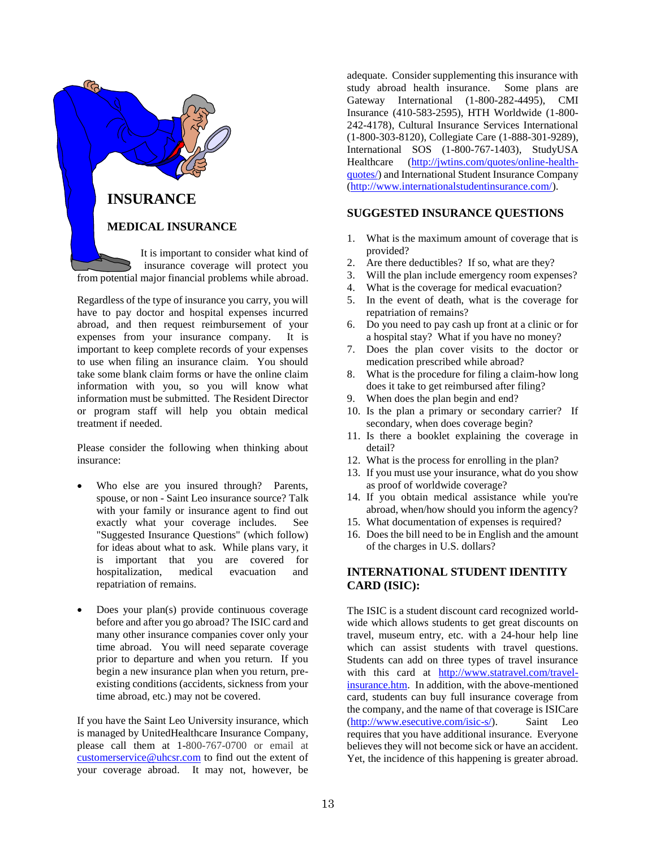

Regardless of the type of insurance you carry, you will have to pay doctor and hospital expenses incurred abroad, and then request reimbursement of your expenses from your insurance company. It is important to keep complete records of your expenses to use when filing an insurance claim. You should take some blank claim forms or have the online claim information with you, so you will know what information must be submitted. The Resident Director or program staff will help you obtain medical treatment if needed.

Please consider the following when thinking about insurance:

- Who else are you insured through? Parents, spouse, or non - Saint Leo insurance source? Talk with your family or insurance agent to find out exactly what your coverage includes. See "Suggested Insurance Questions" (which follow) for ideas about what to ask. While plans vary, it is important that you are covered for hospitalization, medical evacuation and repatriation of remains.
- Does your plan(s) provide continuous coverage before and after you go abroad? The ISIC card and many other insurance companies cover only your time abroad. You will need separate coverage prior to departure and when you return. If you begin a new insurance plan when you return, preexisting conditions (accidents, sickness from your time abroad, etc.) may not be covered.

If you have the Saint Leo University insurance, which is managed by UnitedHealthcare Insurance Company, please call them at 1-800-767-0700 or email at [customerservice@uhcsr.com](mailto:customerservice@uhcsr.com) to find out the extent of your coverage abroad. It may not, however, be

adequate. Consider supplementing this insurance with study abroad health insurance. Some plans are Gateway International (1-800-282-4495), CMI Insurance (410-583-2595), HTH Worldwide (1-800- 242-4178), Cultural Insurance Services International (1-800-303-8120), Collegiate Care (1-888-301-9289), International SOS (1-800-767-1403), StudyUSA Healthcare [\(http://jwtins.com/quotes/online-health](http://jwtins.com/quotes/online-health-quotes/)[quotes/\)](http://jwtins.com/quotes/online-health-quotes/) and International Student Insurance Company [\(http://www.internationalstudentinsurance.com/\)](http://www.internationalstudentinsurance.com/).

#### **SUGGESTED INSURANCE QUESTIONS**

- 1. What is the maximum amount of coverage that is provided?
- 2. Are there deductibles? If so, what are they?
- 3. Will the plan include emergency room expenses?
- 4. What is the coverage for medical evacuation?
- 5. In the event of death, what is the coverage for repatriation of remains?
- 6. Do you need to pay cash up front at a clinic or for a hospital stay? What if you have no money?
- 7. Does the plan cover visits to the doctor or medication prescribed while abroad?
- 8. What is the procedure for filing a claim-how long does it take to get reimbursed after filing?
- 9. When does the plan begin and end?
- 10. Is the plan a primary or secondary carrier? If secondary, when does coverage begin?
- 11. Is there a booklet explaining the coverage in detail?
- 12. What is the process for enrolling in the plan?
- 13. If you must use your insurance, what do you show as proof of worldwide coverage?
- 14. If you obtain medical assistance while you're abroad, when/how should you inform the agency?
- 15. What documentation of expenses is required?
- 16. Does the bill need to be in English and the amount of the charges in U.S. dollars?

#### **INTERNATIONAL STUDENT IDENTITY CARD (ISIC):**

The ISIC is a student discount card recognized worldwide which allows students to get great discounts on travel, museum entry, etc. with a 24-hour help line which can assist students with travel questions. Students can add on three types of travel insurance with this card at [http://www.statravel.com/travel](http://www.statravel.com/travel-insurance.htm)[insurance.htm.](http://www.statravel.com/travel-insurance.htm) In addition, with the above-mentioned card, students can buy full insurance coverage from the company, and the name of that coverage is ISICare [\(http://www.esecutive.com/isic-s/\)](http://www.esecutive.com/isic-s/). Saint Leo requires that you have additional insurance. Everyone believes they will not become sick or have an accident. Yet, the incidence of this happening is greater abroad.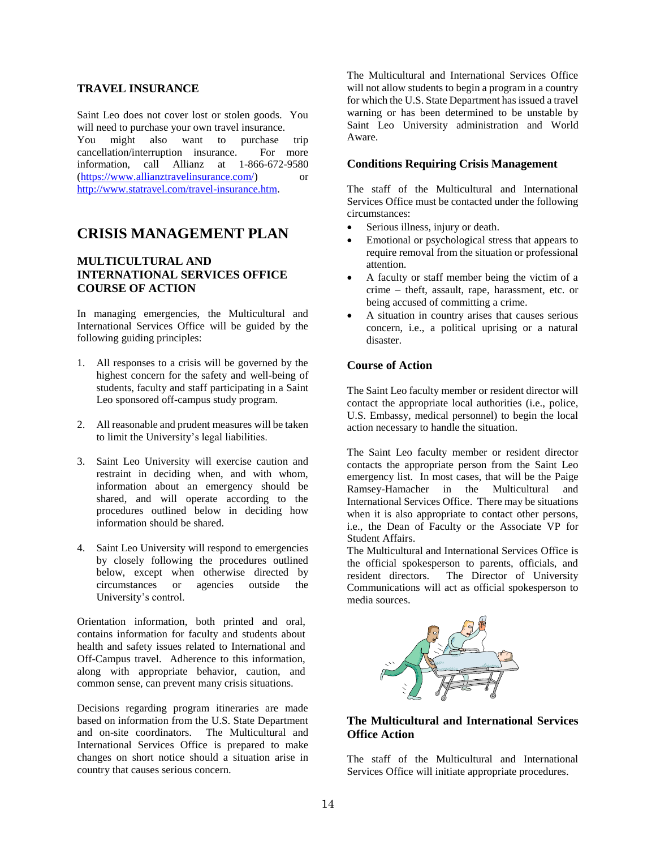#### **TRAVEL INSURANCE**

<span id="page-14-0"></span>Saint Leo does not cover lost or stolen goods. You will need to purchase your own travel insurance. You might also want to purchase trip cancellation/interruption insurance. For more information, call Allianz at 1-866-672-9580 [\(https://www.allianztravelinsurance.com/\)](https://www.allianztravelinsurance.com/) or [http://www.statravel.com/travel-insurance.htm.](http://www.statravel.com/travel-insurance.htm)

# **CRISIS MANAGEMENT PLAN**

#### **MULTICULTURAL AND INTERNATIONAL SERVICES OFFICE COURSE OF ACTION**

In managing emergencies, the Multicultural and International Services Office will be guided by the following guiding principles:

- 1. All responses to a crisis will be governed by the highest concern for the safety and well-being of students, faculty and staff participating in a Saint Leo sponsored off-campus study program.
- 2. All reasonable and prudent measures will be taken to limit the University's legal liabilities.
- 3. Saint Leo University will exercise caution and restraint in deciding when, and with whom, information about an emergency should be shared, and will operate according to the procedures outlined below in deciding how information should be shared.
- 4. Saint Leo University will respond to emergencies by closely following the procedures outlined below, except when otherwise directed by circumstances or agencies outside the University's control.

Orientation information, both printed and oral, contains information for faculty and students about health and safety issues related to International and Off-Campus travel. Adherence to this information, along with appropriate behavior, caution, and common sense, can prevent many crisis situations.

Decisions regarding program itineraries are made based on information from the U.S. State Department and on-site coordinators. The Multicultural and International Services Office is prepared to make changes on short notice should a situation arise in country that causes serious concern.

The Multicultural and International Services Office will not allow students to begin a program in a country for which the U.S. State Department has issued a travel warning or has been determined to be unstable by Saint Leo University administration and World Aware.

#### <span id="page-14-1"></span>**Conditions Requiring Crisis Management**

The staff of the Multicultural and International Services Office must be contacted under the following circumstances:

- Serious illness, injury or death.
- Emotional or psychological stress that appears to require removal from the situation or professional attention.
- A faculty or staff member being the victim of a crime – theft, assault, rape, harassment, etc. or being accused of committing a crime.
- A situation in country arises that causes serious concern, i.e., a political uprising or a natural disaster.

#### **Course of Action**

The Saint Leo faculty member or resident director will contact the appropriate local authorities (i.e., police, U.S. Embassy, medical personnel) to begin the local action necessary to handle the situation.

The Saint Leo faculty member or resident director contacts the appropriate person from the Saint Leo emergency list. In most cases, that will be the Paige Ramsey-Hamacher in the Multicultural and International Services Office. There may be situations when it is also appropriate to contact other persons, i.e., the Dean of Faculty or the Associate VP for Student Affairs.

The Multicultural and International Services Office is the official spokesperson to parents, officials, and resident directors. The Director of University Communications will act as official spokesperson to media sources.



#### **The Multicultural and International Services Office Action**

The staff of the Multicultural and International Services Office will initiate appropriate procedures.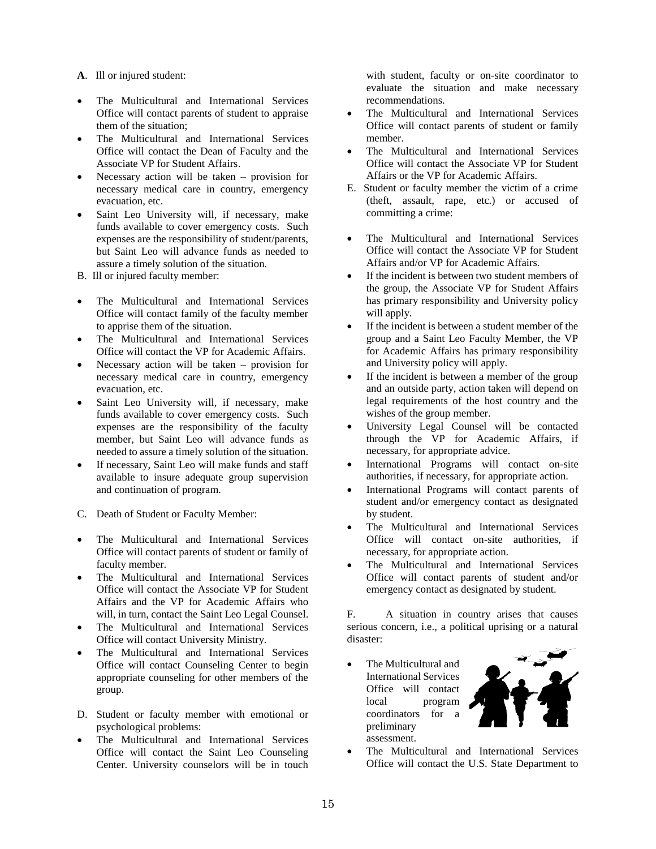**A**. Ill or injured student:

- The Multicultural and International Services Office will contact parents of student to appraise them of the situation;
- The Multicultural and International Services Office will contact the Dean of Faculty and the Associate VP for Student Affairs.
- Necessary action will be taken provision for necessary medical care in country, emergency evacuation, etc.
- Saint Leo University will, if necessary, make funds available to cover emergency costs. Such expenses are the responsibility of student/parents, but Saint Leo will advance funds as needed to assure a timely solution of the situation.
- B. Ill or injured faculty member:
- The Multicultural and International Services Office will contact family of the faculty member to apprise them of the situation.
- The Multicultural and International Services Office will contact the VP for Academic Affairs.
- Necessary action will be taken provision for necessary medical care in country, emergency evacuation, etc.
- Saint Leo University will, if necessary, make funds available to cover emergency costs. Such expenses are the responsibility of the faculty member, but Saint Leo will advance funds as needed to assure a timely solution of the situation.
- If necessary, Saint Leo will make funds and staff available to insure adequate group supervision and continuation of program.
- C. Death of Student or Faculty Member:
- The Multicultural and International Services Office will contact parents of student or family of faculty member.
- The Multicultural and International Services Office will contact the Associate VP for Student Affairs and the VP for Academic Affairs who will, in turn, contact the Saint Leo Legal Counsel.
- The Multicultural and International Services Office will contact University Ministry.
- The Multicultural and International Services Office will contact Counseling Center to begin appropriate counseling for other members of the group.
- D. Student or faculty member with emotional or psychological problems:
- The Multicultural and International Services Office will contact the Saint Leo Counseling Center. University counselors will be in touch

with student, faculty or on-site coordinator to evaluate the situation and make necessary recommendations.

- The Multicultural and International Services Office will contact parents of student or family member.
- The Multicultural and International Services Office will contact the Associate VP for Student Affairs or the VP for Academic Affairs.
- E. Student or faculty member the victim of a crime (theft, assault, rape, etc.) or accused of committing a crime:
- The Multicultural and International Services Office will contact the Associate VP for Student Affairs and/or VP for Academic Affairs.
- If the incident is between two student members of the group, the Associate VP for Student Affairs has primary responsibility and University policy will apply.
- If the incident is between a student member of the group and a Saint Leo Faculty Member, the VP for Academic Affairs has primary responsibility and University policy will apply.
- If the incident is between a member of the group and an outside party, action taken will depend on legal requirements of the host country and the wishes of the group member.
- University Legal Counsel will be contacted through the VP for Academic Affairs, if necessary, for appropriate advice.
- International Programs will contact on-site authorities, if necessary, for appropriate action.
- International Programs will contact parents of student and/or emergency contact as designated by student.
- The Multicultural and International Services Office will contact on-site authorities, if necessary, for appropriate action.
- The Multicultural and International Services Office will contact parents of student and/or emergency contact as designated by student.

F. A situation in country arises that causes serious concern, i.e., a political uprising or a natural disaster:

• The Multicultural and International Services Office will contact local program coordinators for a preliminary assessment.



 The Multicultural and International Services Office will contact the U.S. State Department to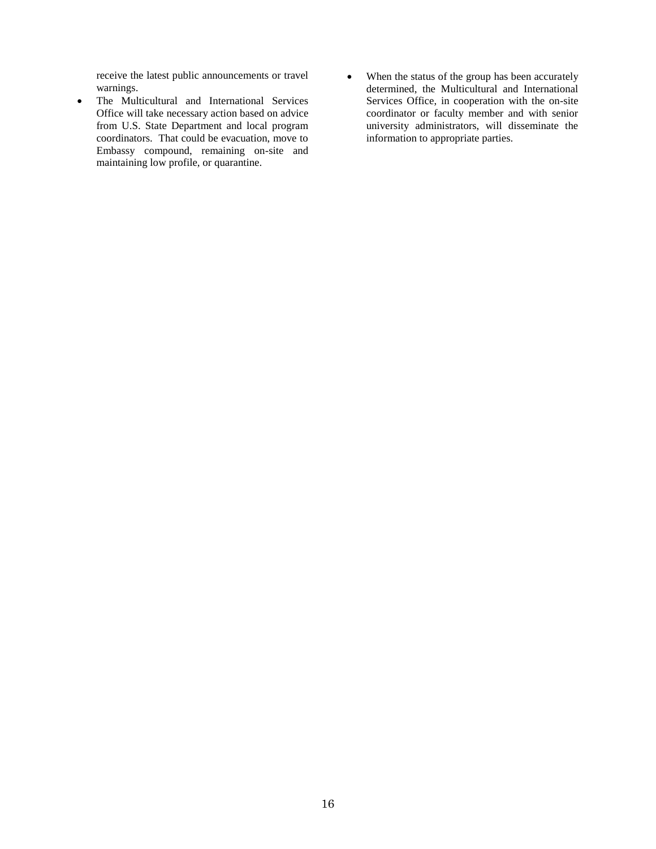receive the latest public announcements or travel warnings.

- The Multicultural and International Services Office will take necessary action based on advice from U.S. State Department and local program coordinators. That could be evacuation, move to Embassy compound, remaining on-site and maintaining low profile, or quarantine.
- When the status of the group has been accurately determined, the Multicultural and International Services Office, in cooperation with the on-site coordinator or faculty member and with senior university administrators, will disseminate the information to appropriate parties.